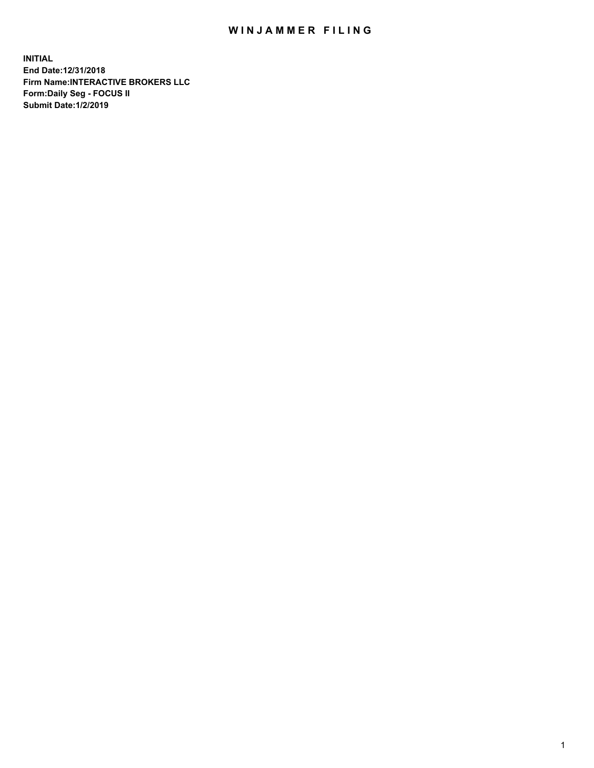## WIN JAMMER FILING

**INITIAL End Date:12/31/2018 Firm Name:INTERACTIVE BROKERS LLC Form:Daily Seg - FOCUS II Submit Date:1/2/2019**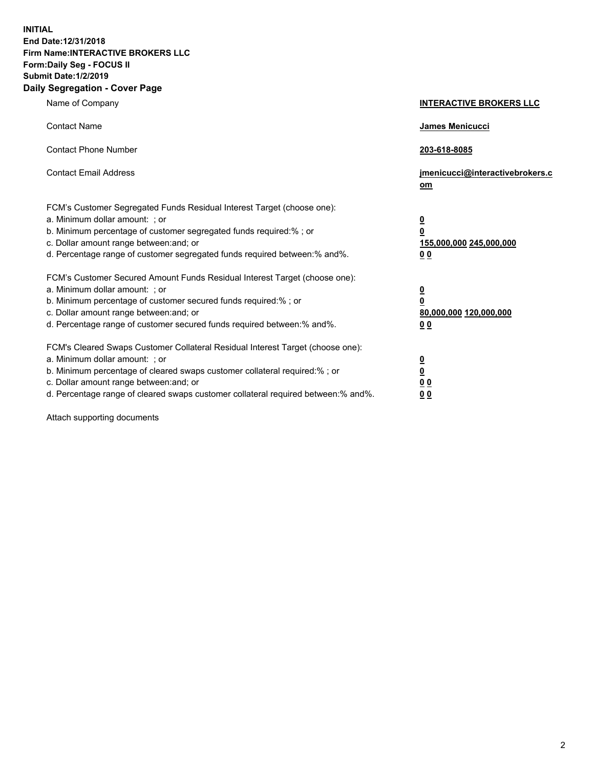**INITIAL End Date:12/31/2018 Firm Name:INTERACTIVE BROKERS LLC Form:Daily Seg - FOCUS II Submit Date:1/2/2019 Daily Segregation - Cover Page**

| Name of Company                                                                                                                                                                                                                                                                                                                | <b>INTERACTIVE BROKERS LLC</b>                                                                 |
|--------------------------------------------------------------------------------------------------------------------------------------------------------------------------------------------------------------------------------------------------------------------------------------------------------------------------------|------------------------------------------------------------------------------------------------|
| <b>Contact Name</b>                                                                                                                                                                                                                                                                                                            | James Menicucci                                                                                |
| <b>Contact Phone Number</b>                                                                                                                                                                                                                                                                                                    | 203-618-8085                                                                                   |
| <b>Contact Email Address</b>                                                                                                                                                                                                                                                                                                   | jmenicucci@interactivebrokers.c<br>om                                                          |
| FCM's Customer Segregated Funds Residual Interest Target (choose one):<br>a. Minimum dollar amount: ; or<br>b. Minimum percentage of customer segregated funds required:%; or<br>c. Dollar amount range between: and; or<br>d. Percentage range of customer segregated funds required between: % and %.                        | $\overline{\mathbf{0}}$<br>$\overline{\mathbf{0}}$<br>155,000,000 245,000,000<br>00            |
| FCM's Customer Secured Amount Funds Residual Interest Target (choose one):<br>a. Minimum dollar amount: ; or<br>b. Minimum percentage of customer secured funds required:%; or<br>c. Dollar amount range between: and; or<br>d. Percentage range of customer secured funds required between:% and%.                            | $\overline{\mathbf{0}}$<br>$\overline{\mathbf{0}}$<br>80,000,000 120,000,000<br>0 <sub>0</sub> |
| FCM's Cleared Swaps Customer Collateral Residual Interest Target (choose one):<br>a. Minimum dollar amount: ; or<br>b. Minimum percentage of cleared swaps customer collateral required:% ; or<br>c. Dollar amount range between: and; or<br>d. Percentage range of cleared swaps customer collateral required between:% and%. | $\overline{\mathbf{0}}$<br>$\overline{\mathbf{0}}$<br>0 <sub>0</sub><br>0 <sub>0</sub>         |

Attach supporting documents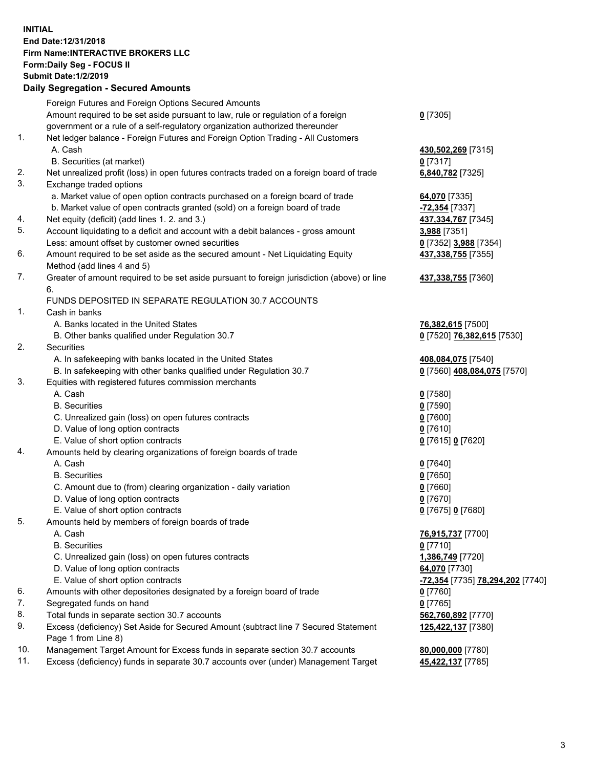## **INITIAL End Date:12/31/2018 Firm Name:INTERACTIVE BROKERS LLC Form:Daily Seg - FOCUS II Submit Date:1/2/2019 Daily Segregation - Secured Amounts**

|     | 2011, Ocgi ogation - Oceaned Anioanita                                                      |                                               |
|-----|---------------------------------------------------------------------------------------------|-----------------------------------------------|
|     | Foreign Futures and Foreign Options Secured Amounts                                         |                                               |
|     | Amount required to be set aside pursuant to law, rule or regulation of a foreign            | $0$ [7305]                                    |
|     | government or a rule of a self-regulatory organization authorized thereunder                |                                               |
| 1.  | Net ledger balance - Foreign Futures and Foreign Option Trading - All Customers             |                                               |
|     | A. Cash                                                                                     | 430,502,269 [7315]                            |
|     | B. Securities (at market)                                                                   | $0$ [7317]                                    |
| 2.  | Net unrealized profit (loss) in open futures contracts traded on a foreign board of trade   | 6,840,782 [7325]                              |
| 3.  | Exchange traded options                                                                     |                                               |
|     | a. Market value of open option contracts purchased on a foreign board of trade              | 64,070 [7335]                                 |
|     | b. Market value of open contracts granted (sold) on a foreign board of trade                | -72,354 [7337]                                |
| 4.  | Net equity (deficit) (add lines 1. 2. and 3.)                                               | 437,334,767 [7345]                            |
| 5.  | Account liquidating to a deficit and account with a debit balances - gross amount           | 3,988 [7351]                                  |
|     | Less: amount offset by customer owned securities                                            | 0 [7352] 3,988 [7354]                         |
| 6.  | Amount required to be set aside as the secured amount - Net Liquidating Equity              | 437,338,755 [7355]                            |
|     | Method (add lines 4 and 5)                                                                  |                                               |
| 7.  | Greater of amount required to be set aside pursuant to foreign jurisdiction (above) or line | 437,338,755 [7360]                            |
|     | 6.                                                                                          |                                               |
|     | FUNDS DEPOSITED IN SEPARATE REGULATION 30.7 ACCOUNTS                                        |                                               |
| 1.  | Cash in banks                                                                               |                                               |
|     | A. Banks located in the United States                                                       | 76,382,615 [7500]                             |
|     | B. Other banks qualified under Regulation 30.7                                              | 0 [7520] 76,382,615 [7530]                    |
| 2.  | Securities                                                                                  |                                               |
|     | A. In safekeeping with banks located in the United States                                   | 408,084,075 [7540]                            |
|     | B. In safekeeping with other banks qualified under Regulation 30.7                          | 0 [7560] 408,084,075 [7570]                   |
| 3.  | Equities with registered futures commission merchants                                       |                                               |
|     | A. Cash                                                                                     | $0$ [7580]                                    |
|     | <b>B.</b> Securities                                                                        | $0$ [7590]                                    |
|     | C. Unrealized gain (loss) on open futures contracts                                         | $0$ [7600]                                    |
|     | D. Value of long option contracts                                                           | $0$ [7610]                                    |
|     | E. Value of short option contracts                                                          | 0 [7615] 0 [7620]                             |
| 4.  | Amounts held by clearing organizations of foreign boards of trade                           |                                               |
|     | A. Cash                                                                                     | $0$ [7640]                                    |
|     | <b>B.</b> Securities                                                                        | $0$ [7650]                                    |
|     | C. Amount due to (from) clearing organization - daily variation                             | $0$ [7660]                                    |
|     | D. Value of long option contracts                                                           | $0$ [7670]                                    |
|     | E. Value of short option contracts                                                          | 0 [7675] 0 [7680]                             |
| 5.  | Amounts held by members of foreign boards of trade                                          |                                               |
|     | A. Cash                                                                                     | 76,915,737 [7700]                             |
|     | <b>B.</b> Securities                                                                        | $0$ [7710]                                    |
|     | C. Unrealized gain (loss) on open futures contracts                                         | 1,386,749 [7720]                              |
|     | D. Value of long option contracts                                                           | 64,070 [7730]                                 |
|     | E. Value of short option contracts                                                          | <mark>-72,354</mark> [7735] 78,294,202 [7740] |
| 6.  | Amounts with other depositories designated by a foreign board of trade                      | 0 [7760]                                      |
| 7.  | Segregated funds on hand                                                                    | $0$ [7765]                                    |
| 8.  | Total funds in separate section 30.7 accounts                                               | 562,760,892 [7770]                            |
| 9.  | Excess (deficiency) Set Aside for Secured Amount (subtract line 7 Secured Statement         | 125,422,137 [7380]                            |
|     | Page 1 from Line 8)                                                                         |                                               |
| 10. | Management Target Amount for Excess funds in separate section 30.7 accounts                 | 80,000,000 [7780]                             |
| 11. | Excess (deficiency) funds in separate 30.7 accounts over (under) Management Target          | 45,422,137 [7785]                             |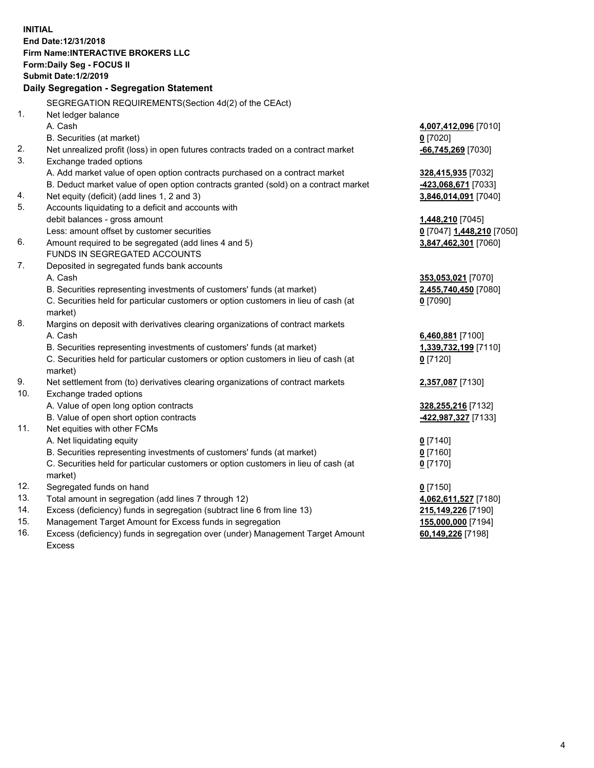|     | <b>INITIAL</b><br>End Date: 12/31/2018<br>Firm Name: INTERACTIVE BROKERS LLC        |                           |
|-----|-------------------------------------------------------------------------------------|---------------------------|
|     | Form: Daily Seg - FOCUS II                                                          |                           |
|     | <b>Submit Date: 1/2/2019</b>                                                        |                           |
|     | Daily Segregation - Segregation Statement                                           |                           |
|     | SEGREGATION REQUIREMENTS(Section 4d(2) of the CEAct)                                |                           |
| 1.  | Net ledger balance                                                                  |                           |
|     | A. Cash                                                                             | 4,007,412,096 [7010]      |
|     | B. Securities (at market)                                                           | $0$ [7020]                |
| 2.  | Net unrealized profit (loss) in open futures contracts traded on a contract market  | -66,745,269 [7030]        |
| 3.  | Exchange traded options                                                             |                           |
|     | A. Add market value of open option contracts purchased on a contract market         | 328,415,935 [7032]        |
|     | B. Deduct market value of open option contracts granted (sold) on a contract market | -423,068,671 [7033]       |
| 4.  | Net equity (deficit) (add lines 1, 2 and 3)                                         | 3,846,014,091 [7040]      |
| 5.  | Accounts liquidating to a deficit and accounts with                                 |                           |
|     | debit balances - gross amount                                                       | 1,448,210 [7045]          |
|     | Less: amount offset by customer securities                                          | 0 [7047] 1,448,210 [7050] |
| 6.  | Amount required to be segregated (add lines 4 and 5)                                | 3,847,462,301 [7060]      |
|     | FUNDS IN SEGREGATED ACCOUNTS                                                        |                           |
| 7.  | Deposited in segregated funds bank accounts                                         |                           |
|     | A. Cash                                                                             | 353,053,021 [7070]        |
|     | B. Securities representing investments of customers' funds (at market)              | 2,455,740,450 [7080]      |
|     | C. Securities held for particular customers or option customers in lieu of cash (at | $0$ [7090]                |
|     | market)                                                                             |                           |
| 8.  | Margins on deposit with derivatives clearing organizations of contract markets      |                           |
|     | A. Cash                                                                             | 6,460,881 [7100]          |
|     | B. Securities representing investments of customers' funds (at market)              | 1,339,732,199 [7110]      |
|     | C. Securities held for particular customers or option customers in lieu of cash (at | $0$ [7120]                |
|     | market)                                                                             |                           |
| 9.  | Net settlement from (to) derivatives clearing organizations of contract markets     | 2,357,087 [7130]          |
| 10. | Exchange traded options                                                             |                           |
|     | A. Value of open long option contracts                                              | 328,255,216 [7132]        |
|     | B. Value of open short option contracts                                             | -422,987,327 [7133]       |
| 11. | Net equities with other FCMs                                                        |                           |
|     | A. Net liquidating equity                                                           | $0$ [7140]                |
|     | B. Securities representing investments of customers' funds (at market)              | $0$ [7160]                |
|     | C. Securities held for particular customers or option customers in lieu of cash (at | $0$ [7170]                |
|     | market)                                                                             |                           |
| 12. | Segregated funds on hand                                                            | $0$ [7150]                |
| 13. | Total amount in segregation (add lines 7 through 12)                                | 4,062,611,527 [7180]      |
| 14. | Excess (deficiency) funds in segregation (subtract line 6 from line 13)             | 215,149,226 [7190]        |
| 15. | Management Target Amount for Excess funds in segregation                            | 155,000,000 [7194]        |
| 16. | Excess (deficiency) funds in segregation over (under) Management Target Amount      | 60,149,226 [7198]         |

Excess